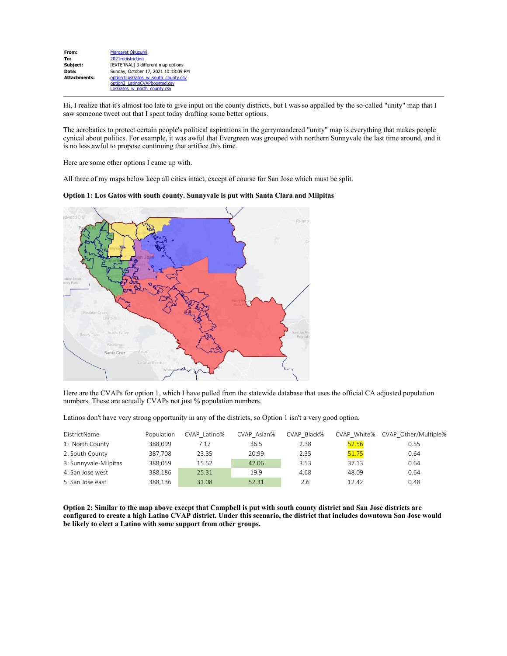| From:               | Margaret Okuzumi                     |
|---------------------|--------------------------------------|
| To:                 | 2021 redistricting                   |
| Subject:            | [EXTERNAL] 3 different map options   |
| Date:               | Sunday, October 17, 2021 10:18:09 PM |
| <b>Attachments:</b> | option1LosGatos w south county.csv   |
|                     | option2_LatinoCVAPboosted.csv        |
|                     | LosGatos w north county.csv          |

Hi, I realize that it's almost too late to give input on the county districts, but I was so appalled by the so-called "unity" map that I saw someone tweet out that I spent today drafting some better options.

The acrobatics to protect certain people's political aspirations in the gerrymandered "unity" map is everything that makes people cynical about politics. For example, it was awful that Evergreen was grouped with northern Sunnyvale the last time around, and it is no less awful to propose continuing that artifice this time.

Here are some other options I came up with.

All three of my maps below keep all cities intact, except of course for San Jose which must be split.

**Option 1: Los Gatos with south county. Sunnyvale is put with Santa Clara and Milpitas**



Here are the CVAPs for option 1, which I have pulled from the statewide database that uses the official CA adjusted population numbers. These are actually CVAPs not just % population numbers.

Latinos don't have very strong opportunity in any of the districts, so Option 1 isn't a very good option.

| DistrictName          | Population | CVAP Latino% | CVAP Asian% | CVAP Black% | CVAP White% | CVAP Other/Multiple% |
|-----------------------|------------|--------------|-------------|-------------|-------------|----------------------|
| 1: North County       | 388.099    | 7.17         | 36.5        | 2.38        | 52.56       | 0.55                 |
| 2: South County       | 387.708    | 23.35        | 20.99       | 2.35        | 51.75       | 0.64                 |
| 3: Sunnyvale-Milpitas | 388.059    | 15.52        | 42.06       | 3.53        | 37.13       | 0.64                 |
| 4: San Jose west      | 388.186    | 25.31        | 19.9        | 4.68        | 48.09       | 0.64                 |
| 5: San Jose east      | 388.136    | 31.08        | 52.31       | 2.6         | 12.42       | 0.48                 |

**Option 2: Similar to the map above except that Campbell is put with south county district and San Jose districts are configured to create a high Latino CVAP district. Under this scenario, the district that includes downtown San Jose would be likely to elect a Latino with some support from other groups.**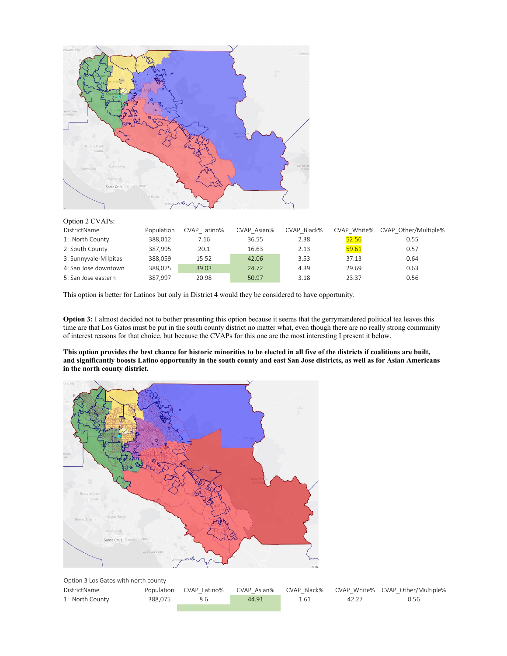

| $Q$ puon $\angle$ C $\sqrt{M}$ S. |            |              |             |             |             |                      |
|-----------------------------------|------------|--------------|-------------|-------------|-------------|----------------------|
| DistrictName                      | Population | CVAP Latino% | CVAP Asian% | CVAP Black% | CVAP White% | CVAP Other/Multiple% |
| 1: North County                   | 388.012    | 7.16         | 36.55       | 2.38        | 52.56       | 0.55                 |
| 2: South County                   | 387.995    | 20.1         | 16.63       | 2.13        | 59.61       | 0.57                 |
| 3: Sunnyvale-Milpitas             | 388.059    | 15.52        | 42.06       | 3.53        | 37.13       | 0.64                 |
| 4: San Jose downtown              | 388.075    | 39.03        | 24.72       | 4.39        | 29.69       | 0.63                 |
| 5: San Jose eastern               | 387.997    | 20.98        | 50.97       | 3.18        | 23.37       | 0.56                 |

This option is better for Latinos but only in District 4 would they be considered to have opportunity.

**Option 3:** I almost decided not to bother presenting this option because it seems that the gerrymandered political tea leaves this time are that Los Gatos must be put in the south county district no matter what, even though there are no really strong community of interest reasons for that choice, but because the CVAPs for this one are the most interesting I present it below.

**This option provides the best chance for historic minorities to be elected in all five of the districts if coalitions are built, and significantly boosts Latino opportunity in the south county and east San Jose districts, as well as for Asian Americans in the north county district.**



|  |  | Option 3 Los Gatos with north county |
|--|--|--------------------------------------|
|  |  |                                      |

| DistrictName    |         |     |       |      |       | Population CVAP Latino% CVAP Asian% CVAP Black% CVAP White% CVAP Other/Multiple% |
|-----------------|---------|-----|-------|------|-------|----------------------------------------------------------------------------------|
| 1: North County | 388.075 | 8.6 | 44.91 | 1.61 | 42.27 | 0.56                                                                             |
|                 |         |     |       |      |       |                                                                                  |